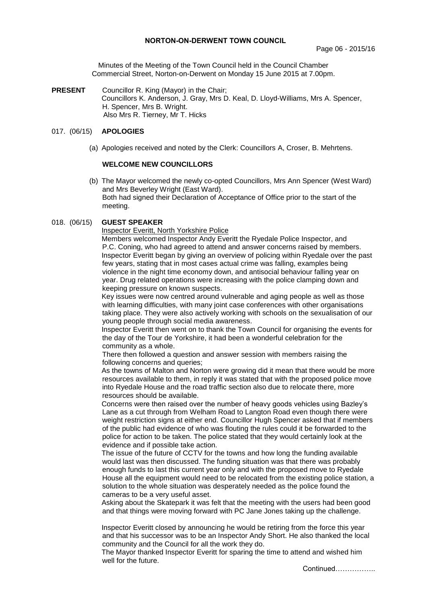Minutes of the Meeting of the Town Council held in the Council Chamber Commercial Street, Norton-on-Derwent on Monday 15 June 2015 at 7.00pm.

**PRESENT** Councillor R. King (Mayor) in the Chair; Councillors K. Anderson, J. Gray, Mrs D. Keal, D. Lloyd-Williams, Mrs A. Spencer, H. Spencer, Mrs B. Wright. Also Mrs R. Tierney, Mr T. Hicks

## 017. (06/15) **APOLOGIES**

(a) Apologies received and noted by the Clerk: Councillors A, Croser, B. Mehrtens.

## **WELCOME NEW COUNCILLORS**

(b) The Mayor welcomed the newly co-opted Councillors, Mrs Ann Spencer (West Ward) and Mrs Beverley Wright (East Ward). Both had signed their Declaration of Acceptance of Office prior to the start of the meeting.

## 018. (06/15) **GUEST SPEAKER**

Inspector Everitt, North Yorkshire Police

 Members welcomed Inspector Andy Everitt the Ryedale Police Inspector, and P.C. Coning, who had agreed to attend and answer concerns raised by members. Inspector Everitt began by giving an overview of policing within Ryedale over the past few years, stating that in most cases actual crime was falling, examples being violence in the night time economy down, and antisocial behaviour falling year on year. Drug related operations were increasing with the police clamping down and keeping pressure on known suspects.

Key issues were now centred around vulnerable and aging people as well as those with learning difficulties, with many joint case conferences with other organisations taking place. They were also actively working with schools on the sexualisation of our young people through social media awareness.

Inspector Everitt then went on to thank the Town Council for organising the events for the day of the Tour de Yorkshire, it had been a wonderful celebration for the community as a whole.

There then followed a question and answer session with members raising the following concerns and queries:

As the towns of Malton and Norton were growing did it mean that there would be more resources available to them, in reply it was stated that with the proposed police move into Ryedale House and the road traffic section also due to relocate there, more resources should be available.

Concerns were then raised over the number of heavy goods vehicles using Bazley's Lane as a cut through from Welham Road to Langton Road even though there were weight restriction signs at either end. Councillor Hugh Spencer asked that if members of the public had evidence of who was flouting the rules could it be forwarded to the police for action to be taken. The police stated that they would certainly look at the evidence and if possible take action.

The issue of the future of CCTV for the towns and how long the funding available would last was then discussed. The funding situation was that there was probably enough funds to last this current year only and with the proposed move to Ryedale House all the equipment would need to be relocated from the existing police station, a solution to the whole situation was desperately needed as the police found the cameras to be a very useful asset.

Asking about the Skatepark it was felt that the meeting with the users had been good and that things were moving forward with PC Jane Jones taking up the challenge.

Inspector Everitt closed by announcing he would be retiring from the force this year and that his successor was to be an Inspector Andy Short. He also thanked the local community and the Council for all the work they do.

The Mayor thanked Inspector Everitt for sparing the time to attend and wished him well for the future.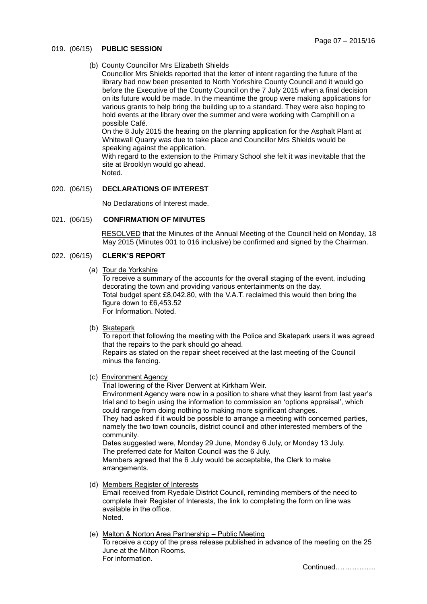## 019. (06/15) **PUBLIC SESSION**

(b) County Councillor Mrs Elizabeth Shields

Councillor Mrs Shields reported that the letter of intent regarding the future of the library had now been presented to North Yorkshire County Council and it would go before the Executive of the County Council on the 7 July 2015 when a final decision on its future would be made. In the meantime the group were making applications for various grants to help bring the building up to a standard. They were also hoping to hold events at the library over the summer and were working with Camphill on a possible Café.

On the 8 July 2015 the hearing on the planning application for the Asphalt Plant at Whitewall Quarry was due to take place and Councillor Mrs Shields would be speaking against the application.

With regard to the extension to the Primary School she felt it was inevitable that the site at Brooklyn would go ahead. Noted.

020. (06/15) **DECLARATIONS OF INTEREST**

No Declarations of Interest made.

## 021. (06/15) **CONFIRMATION OF MINUTES**

 RESOLVED that the Minutes of the Annual Meeting of the Council held on Monday, 18 May 2015 (Minutes 001 to 016 inclusive) be confirmed and signed by the Chairman.

# 022. (06/15) **CLERK'S REPORT**

(a) Tour de Yorkshire

To receive a summary of the accounts for the overall staging of the event, including decorating the town and providing various entertainments on the day. Total budget spent £8,042.80, with the V.A.T. reclaimed this would then bring the figure down to £6,453.52 For Information. Noted.

(b) Skatepark

To report that following the meeting with the Police and Skatepark users it was agreed that the repairs to the park should go ahead.

Repairs as stated on the repair sheet received at the last meeting of the Council minus the fencing.

(c) Environment Agency

Trial lowering of the River Derwent at Kirkham Weir. Environment Agency were now in a position to share what they learnt from last year's trial and to begin using the information to commission an 'options appraisal', which could range from doing nothing to making more significant changes. They had asked if it would be possible to arrange a meeting with concerned parties, namely the two town councils, district council and other interested members of the community. Dates suggested were, Monday 29 June, Monday 6 July, or Monday 13 July. The preferred date for Malton Council was the 6 July. Members agreed that the 6 July would be acceptable, the Clerk to make arrangements.

(d) Members Register of Interests

Email received from Ryedale District Council, reminding members of the need to complete their Register of Interests, the link to completing the form on line was available in the office. Noted.

## (e) Malton & Norton Area Partnership – Public Meeting

To receive a copy of the press release published in advance of the meeting on the 25 June at the Milton Rooms. For information.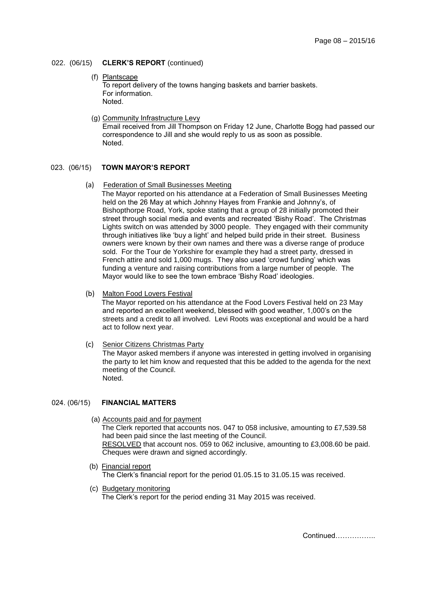## 022. (06/15) **CLERK'S REPORT** (continued)

- (f) Plantscape To report delivery of the towns hanging baskets and barrier baskets. For information. Noted.
- (g) Community Infrastructure Levy Email received from Jill Thompson on Friday 12 June, Charlotte Bogg had passed our correspondence to Jill and she would reply to us as soon as possible. Noted.

## 023. (06/15) **TOWN MAYOR'S REPORT**

### (a) Federation of Small Businesses Meeting

The Mayor reported on his attendance at a Federation of Small Businesses Meeting held on the 26 May at which Johnny Hayes from Frankie and Johnny's, of Bishopthorpe Road, York, spoke stating that a group of 28 initially promoted their street through social media and events and recreated 'Bishy Road'. The Christmas Lights switch on was attended by 3000 people. They engaged with their community through initiatives like 'buy a light' and helped build pride in their street. Business owners were known by their own names and there was a diverse range of produce sold. For the Tour de Yorkshire for example they had a street party, dressed in French attire and sold 1,000 mugs. They also used 'crowd funding' which was funding a venture and raising contributions from a large number of people. The Mayor would like to see the town embrace 'Bishy Road' ideologies.

## (b) Malton Food Lovers Festival

The Mayor reported on his attendance at the Food Lovers Festival held on 23 May and reported an excellent weekend, blessed with good weather, 1,000's on the streets and a credit to all involved. Levi Roots was exceptional and would be a hard act to follow next year.

(c) Senior Citizens Christmas Party

The Mayor asked members if anyone was interested in getting involved in organising the party to let him know and requested that this be added to the agenda for the next meeting of the Council. Noted.

### 024. (06/15) **FINANCIAL MATTERS**

(a) Accounts paid and for payment

The Clerk reported that accounts nos. 047 to 058 inclusive, amounting to £7,539.58 had been paid since the last meeting of the Council. RESOLVED that account nos. 059 to 062 inclusive, amounting to £3,008.60 be paid. Cheques were drawn and signed accordingly.

- (b) Financial report The Clerk's financial report for the period 01.05.15 to 31.05.15 was received.
- (c) Budgetary monitoring The Clerk's report for the period ending 31 May 2015 was received.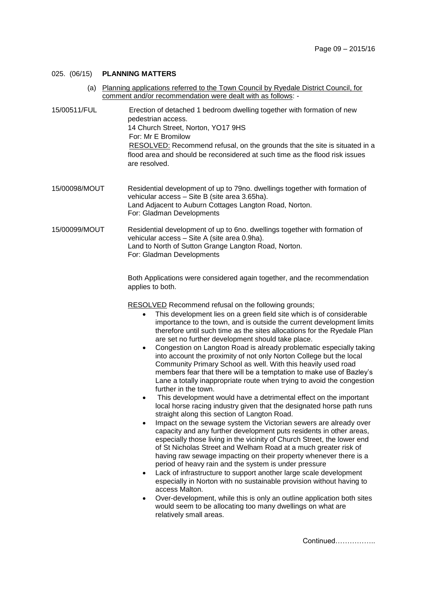## 025. (06/15) **PLANNING MATTERS**

- (a) Planning applications referred to the Town Council by Ryedale District Council, for comment and/or recommendation were dealt with as follows: -
- 15/00511/FUL Erection of detached 1 bedroom dwelling together with formation of new pedestrian access. 14 Church Street, Norton, YO17 9HS For: Mr E Bromilow RESOLVED: Recommend refusal, on the grounds that the site is situated in a flood area and should be reconsidered at such time as the flood risk issues are resolved.
- 15/00098/MOUT Residential development of up to 79no. dwellings together with formation of vehicular access – Site B (site area 3.65ha). Land Adjacent to Auburn Cottages Langton Road, Norton. For: Gladman Developments
- 15/00099/MOUT Residential development of up to 6no. dwellings together with formation of vehicular access – Site A (site area 0.9ha). Land to North of Sutton Grange Langton Road, Norton. For: Gladman Developments

Both Applications were considered again together, and the recommendation applies to both.

RESOLVED Recommend refusal on the following grounds;

- This development lies on a green field site which is of considerable importance to the town, and is outside the current development limits therefore until such time as the sites allocations for the Ryedale Plan are set no further development should take place.
- Congestion on Langton Road is already problematic especially taking into account the proximity of not only Norton College but the local Community Primary School as well. With this heavily used road members fear that there will be a temptation to make use of Bazley's Lane a totally inappropriate route when trying to avoid the congestion further in the town.
- This development would have a detrimental effect on the important local horse racing industry given that the designated horse path runs straight along this section of Langton Road.
- Impact on the sewage system the Victorian sewers are already over capacity and any further development puts residents in other areas, especially those living in the vicinity of Church Street, the lower end of St Nicholas Street and Welham Road at a much greater risk of having raw sewage impacting on their property whenever there is a period of heavy rain and the system is under pressure
- Lack of infrastructure to support another large scale development especially in Norton with no sustainable provision without having to access Malton.
- Over-development, while this is only an outline application both sites would seem to be allocating too many dwellings on what are relatively small areas.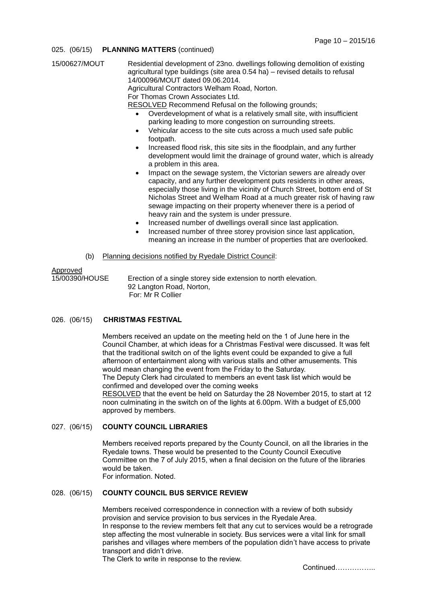### 025. (06/15) **PLANNING MATTERS** (continued)

| 15/00627/MOUT              | Residential development of 23no. dwellings following demolition of existing<br>agricultural type buildings (site area 0.54 ha) – revised details to refusal<br>14/00096/MOUT dated 09.06.2014.<br>Agricultural Contractors Welham Road, Norton.<br>For Thomas Crown Associates Ltd.<br><b>RESOLVED</b> Recommend Refusal on the following grounds;<br>Overdevelopment of what is a relatively small site, with insufficient<br>$\bullet$<br>parking leading to more congestion on surrounding streets.<br>Vehicular access to the site cuts across a much used safe public<br>$\bullet$<br>footpath.<br>Increased flood risk, this site sits in the floodplain, and any further<br>$\bullet$<br>development would limit the drainage of ground water, which is already<br>a problem in this area.<br>Impact on the sewage system, the Victorian sewers are already over<br>٠<br>capacity, and any further development puts residents in other areas,<br>especially those living in the vicinity of Church Street, bottom end of St<br>Nicholas Street and Welham Road at a much greater risk of having raw<br>sewage impacting on their property whenever there is a period of<br>heavy rain and the system is under pressure.<br>Increased number of dwellings overall since last application.<br>$\bullet$<br>Increased number of three storey provision since last application,<br>$\bullet$<br>meaning an increase in the number of properties that are overlooked. |
|----------------------------|-------------------------------------------------------------------------------------------------------------------------------------------------------------------------------------------------------------------------------------------------------------------------------------------------------------------------------------------------------------------------------------------------------------------------------------------------------------------------------------------------------------------------------------------------------------------------------------------------------------------------------------------------------------------------------------------------------------------------------------------------------------------------------------------------------------------------------------------------------------------------------------------------------------------------------------------------------------------------------------------------------------------------------------------------------------------------------------------------------------------------------------------------------------------------------------------------------------------------------------------------------------------------------------------------------------------------------------------------------------------------------------------------------------------------------------------------------------------------|
|                            | Planning decisions notified by Ryedale District Council:                                                                                                                                                                                                                                                                                                                                                                                                                                                                                                                                                                                                                                                                                                                                                                                                                                                                                                                                                                                                                                                                                                                                                                                                                                                                                                                                                                                                                |
| (b)                        |                                                                                                                                                                                                                                                                                                                                                                                                                                                                                                                                                                                                                                                                                                                                                                                                                                                                                                                                                                                                                                                                                                                                                                                                                                                                                                                                                                                                                                                                         |
| Approved<br>15/00390/HOUSE | Erection of a single storey side extension to north elevation.                                                                                                                                                                                                                                                                                                                                                                                                                                                                                                                                                                                                                                                                                                                                                                                                                                                                                                                                                                                                                                                                                                                                                                                                                                                                                                                                                                                                          |
|                            | 00 Lengton Deed Nexter                                                                                                                                                                                                                                                                                                                                                                                                                                                                                                                                                                                                                                                                                                                                                                                                                                                                                                                                                                                                                                                                                                                                                                                                                                                                                                                                                                                                                                                  |

92 Langton Road, Norton, For: Mr R Collier

## 026. (06/15) **CHRISTMAS FESTIVAL**

Members received an update on the meeting held on the 1 of June here in the Council Chamber, at which ideas for a Christmas Festival were discussed. It was felt that the traditional switch on of the lights event could be expanded to give a full afternoon of entertainment along with various stalls and other amusements. This would mean changing the event from the Friday to the Saturday. The Deputy Clerk had circulated to members an event task list which would be confirmed and developed over the coming weeks

RESOLVED that the event be held on Saturday the 28 November 2015, to start at 12 noon culminating in the switch on of the lights at 6.00pm. With a budget of £5,000 approved by members.

### 027. (06/15) **COUNTY COUNCIL LIBRARIES**

Members received reports prepared by the County Council, on all the libraries in the Ryedale towns. These would be presented to the County Council Executive Committee on the 7 of July 2015, when a final decision on the future of the libraries would be taken. For information. Noted.

# 028. (06/15) **COUNTY COUNCIL BUS SERVICE REVIEW**

Members received correspondence in connection with a review of both subsidy provision and service provision to bus services in the Ryedale Area. In response to the review members felt that any cut to services would be a retrograde step affecting the most vulnerable in society. Bus services were a vital link for small parishes and villages where members of the population didn't have access to private transport and didn't drive.

The Clerk to write in response to the review.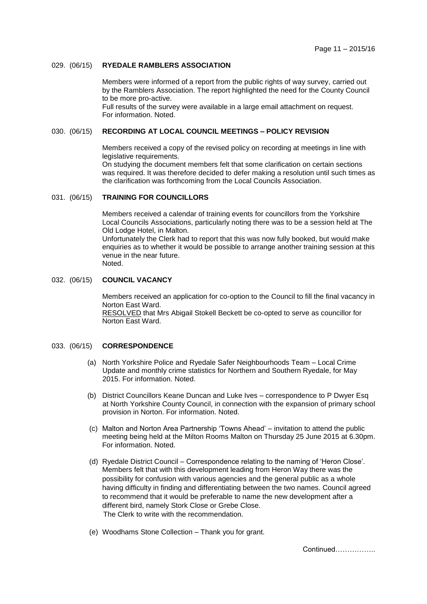### 029. (06/15) **RYEDALE RAMBLERS ASSOCIATION**

Members were informed of a report from the public rights of way survey, carried out by the Ramblers Association. The report highlighted the need for the County Council to be more pro-active.

Full results of the survey were available in a large email attachment on request. For information. Noted.

## 030. (06/15) **RECORDING AT LOCAL COUNCIL MEETINGS – POLICY REVISION**

Members received a copy of the revised policy on recording at meetings in line with legislative requirements.

On studying the document members felt that some clarification on certain sections was required. It was therefore decided to defer making a resolution until such times as the clarification was forthcoming from the Local Councils Association.

### 031. (06/15) **TRAINING FOR COUNCILLORS**

Members received a calendar of training events for councillors from the Yorkshire Local Councils Associations, particularly noting there was to be a session held at The Old Lodge Hotel, in Malton.

Unfortunately the Clerk had to report that this was now fully booked, but would make enquiries as to whether it would be possible to arrange another training session at this venue in the near future. Noted.

### 032. (06/15) **COUNCIL VACANCY**

Members received an application for co-option to the Council to fill the final vacancy in Norton East Ward. RESOLVED that Mrs Abigail Stokell Beckett be co-opted to serve as councillor for Norton East Ward.

### 033. (06/15) **CORRESPONDENCE**

- (a) North Yorkshire Police and Ryedale Safer Neighbourhoods Team Local Crime Update and monthly crime statistics for Northern and Southern Ryedale, for May 2015. For information. Noted.
- (b) District Councillors Keane Duncan and Luke Ives correspondence to P Dwyer Esq at North Yorkshire County Council, in connection with the expansion of primary school provision in Norton. For information. Noted.
- (c) Malton and Norton Area Partnership 'Towns Ahead' invitation to attend the public meeting being held at the Milton Rooms Malton on Thursday 25 June 2015 at 6.30pm. For information. Noted.
- (d) Ryedale District Council Correspondence relating to the naming of 'Heron Close'. Members felt that with this development leading from Heron Way there was the possibility for confusion with various agencies and the general public as a whole having difficulty in finding and differentiating between the two names. Council agreed to recommend that it would be preferable to name the new development after a different bird, namely Stork Close or Grebe Close. The Clerk to write with the recommendation.
- (e) Woodhams Stone Collection Thank you for grant.